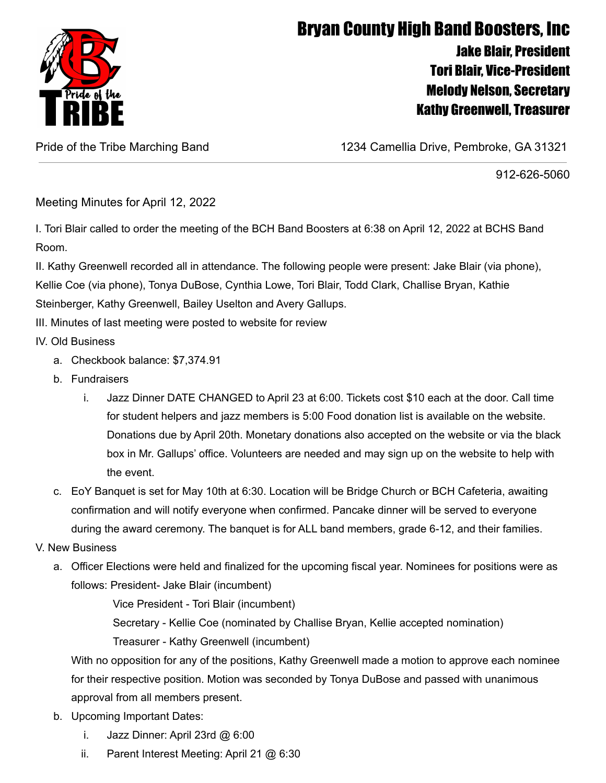

## Bryan County High Band Boosters, Inc Jake Blair, President Tori Blair, Vice-President Melody Nelson, Secretary Kathy Greenwell, Treasurer

Pride of the Tribe Marching Band 1234 Camellia Drive, Pembroke, GA 31321

## 912-626-5060

Meeting Minutes for April 12, 2022

I. Tori Blair called to order the meeting of the BCH Band Boosters at 6:38 on April 12, 2022 at BCHS Band Room.

II. Kathy Greenwell recorded all in attendance. The following people were present: Jake Blair (via phone), Kellie Coe (via phone), Tonya DuBose, Cynthia Lowe, Tori Blair, Todd Clark, Challise Bryan, Kathie Steinberger, Kathy Greenwell, Bailey Uselton and Avery Gallups.

III. Minutes of last meeting were posted to website for review

- IV. Old Business
	- a. Checkbook balance: \$7,374.91
	- b. Fundraisers
		- i. Jazz Dinner DATE CHANGED to April 23 at 6:00. Tickets cost \$10 each at the door. Call time for student helpers and jazz members is 5:00 Food donation list is available on the website. Donations due by April 20th. Monetary donations also accepted on the website or via the black box in Mr. Gallups' office. Volunteers are needed and may sign up on the website to help with the event.
	- c. EoY Banquet is set for May 10th at 6:30. Location will be Bridge Church or BCH Cafeteria, awaiting confirmation and will notify everyone when confirmed. Pancake dinner will be served to everyone during the award ceremony. The banquet is for ALL band members, grade 6-12, and their families.
- V. New Business
	- a. Officer Elections were held and finalized for the upcoming fiscal year. Nominees for positions were as follows: President- Jake Blair (incumbent)

Vice President - Tori Blair (incumbent)

Secretary - Kellie Coe (nominated by Challise Bryan, Kellie accepted nomination)

Treasurer - Kathy Greenwell (incumbent)

With no opposition for any of the positions, Kathy Greenwell made a motion to approve each nominee for their respective position. Motion was seconded by Tonya DuBose and passed with unanimous approval from all members present.

- b. Upcoming Important Dates:
	- i. Jazz Dinner: April 23rd @ 6:00
	- ii. Parent Interest Meeting: April 21 @ 6:30